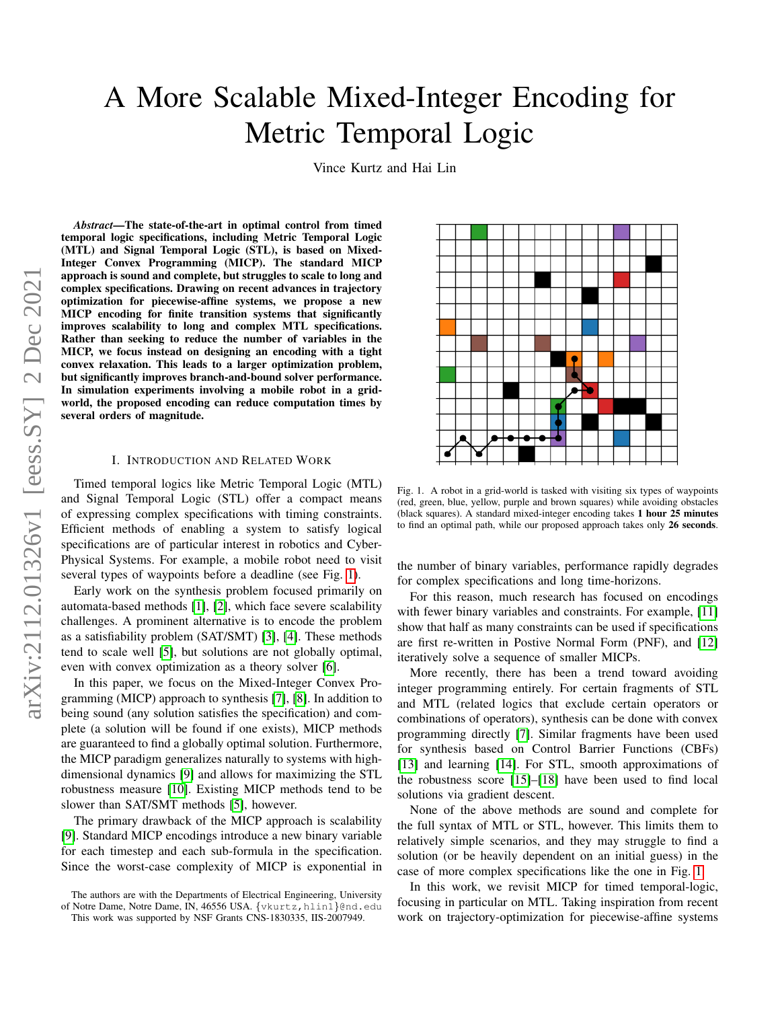# A More Scalable Mixed-Integer Encoding for Metric Temporal Logic

Vince Kurtz and Hai Lin

*Abstract*—The state-of-the-art in optimal control from timed temporal logic specifications, including Metric Temporal Logic (MTL) and Signal Temporal Logic (STL), is based on Mixed-Integer Convex Programming (MICP). The standard MICP approach is sound and complete, but struggles to scale to long and complex specifications. Drawing on recent advances in trajectory optimization for piecewise-affine systems, we propose a new MICP encoding for finite transition systems that significantly improves scalability to long and complex MTL specifications. Rather than seeking to reduce the number of variables in the MICP, we focus instead on designing an encoding with a tight convex relaxation. This leads to a larger optimization problem, but significantly improves branch-and-bound solver performance. In simulation experiments involving a mobile robot in a gridworld, the proposed encoding can reduce computation times by several orders of magnitude.

# I. INTRODUCTION AND RELATED WORK

Timed temporal logics like Metric Temporal Logic (MTL) and Signal Temporal Logic (STL) offer a compact means of expressing complex specifications with timing constraints. Efficient methods of enabling a system to satisfy logical specifications are of particular interest in robotics and Cyber-Physical Systems. For example, a mobile robot need to visit several types of waypoints before a deadline (see Fig. [1\)](#page-0-0).

Early work on the synthesis problem focused primarily on automata-based methods [\[1\]](#page-6-0), [\[2\]](#page-6-1), which face severe scalability challenges. A prominent alternative is to encode the problem as a satisfiability problem (SAT/SMT) [\[3\]](#page-6-2), [\[4\]](#page-6-3). These methods tend to scale well [\[5\]](#page-6-4), but solutions are not globally optimal, even with convex optimization as a theory solver [\[6\]](#page-6-5).

In this paper, we focus on the Mixed-Integer Convex Programming (MICP) approach to synthesis [\[7\]](#page-6-6), [\[8\]](#page-6-7). In addition to being sound (any solution satisfies the specification) and complete (a solution will be found if one exists), MICP methods are guaranteed to find a globally optimal solution. Furthermore, the MICP paradigm generalizes naturally to systems with highdimensional dynamics [\[9\]](#page-6-8) and allows for maximizing the STL robustness measure [\[10\]](#page-6-9). Existing MICP methods tend to be slower than SAT/SMT methods [\[5\]](#page-6-4), however.

The primary drawback of the MICP approach is scalability [\[9\]](#page-6-8). Standard MICP encodings introduce a new binary variable for each timestep and each sub-formula in the specification. Since the worst-case complexity of MICP is exponential in

<span id="page-0-0"></span>

Fig. 1. A robot in a grid-world is tasked with visiting six types of waypoints (red, green, blue, yellow, purple and brown squares) while avoiding obstacles (black squares). A standard mixed-integer encoding takes 1 hour 25 minutes to find an optimal path, while our proposed approach takes only 26 seconds.

the number of binary variables, performance rapidly degrades for complex specifications and long time-horizons.

For this reason, much research has focused on encodings with fewer binary variables and constraints. For example, [\[11\]](#page-6-10) show that half as many constraints can be used if specifications are first re-written in Postive Normal Form (PNF), and [\[12\]](#page-6-11) iteratively solve a sequence of smaller MICPs.

More recently, there has been a trend toward avoiding integer programming entirely. For certain fragments of STL and MTL (related logics that exclude certain operators or combinations of operators), synthesis can be done with convex programming directly [\[7\]](#page-6-6). Similar fragments have been used for synthesis based on Control Barrier Functions (CBFs) [\[13\]](#page-6-12) and learning [\[14\]](#page-6-13). For STL, smooth approximations of the robustness score [\[15\]](#page-6-14)–[\[18\]](#page-6-15) have been used to find local solutions via gradient descent.

None of the above methods are sound and complete for the full syntax of MTL or STL, however. This limits them to relatively simple scenarios, and they may struggle to find a solution (or be heavily dependent on an initial guess) in the case of more complex specifications like the one in Fig. [1.](#page-0-0)

In this work, we revisit MICP for timed temporal-logic, focusing in particular on MTL. Taking inspiration from recent work on trajectory-optimization for piecewise-affine systems

The authors are with the Departments of Electrical Engineering, University

of Notre Dame, Notre Dame, IN, 46556 USA. {vkurtz,hlin1}@nd.edu This work was supported by NSF Grants CNS-1830335, IIS-2007949.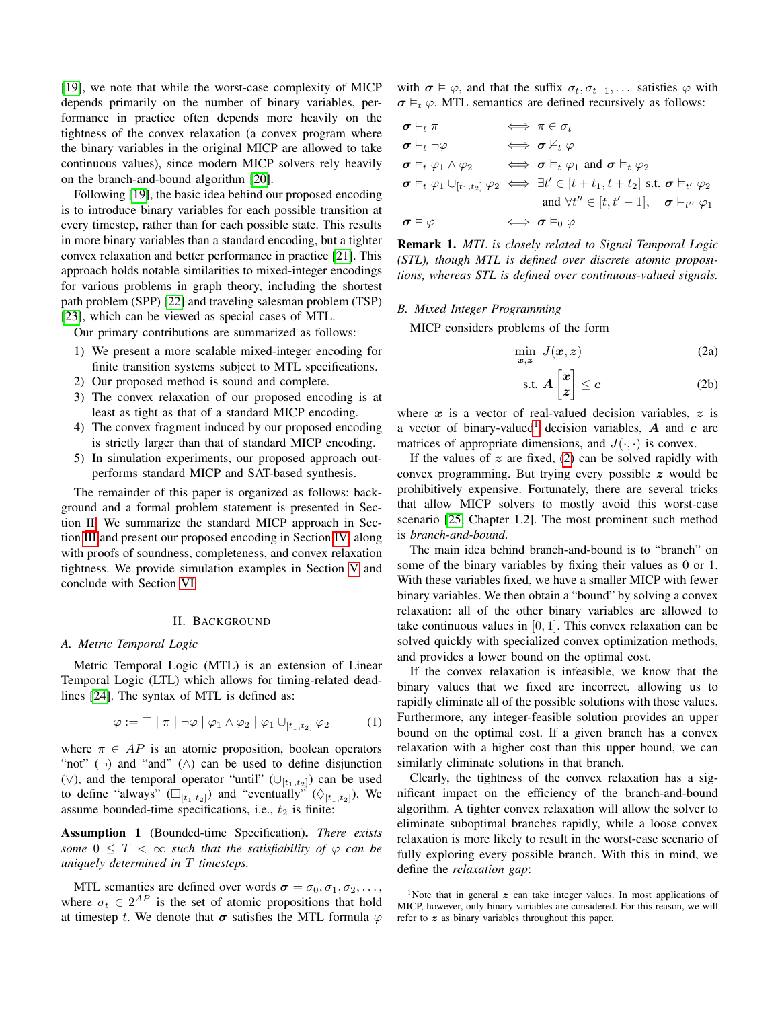[\[19\]](#page-6-16), we note that while the worst-case complexity of MICP depends primarily on the number of binary variables, performance in practice often depends more heavily on the tightness of the convex relaxation (a convex program where the binary variables in the original MICP are allowed to take continuous values), since modern MICP solvers rely heavily on the branch-and-bound algorithm [\[20\]](#page-6-17).

Following [\[19\]](#page-6-16), the basic idea behind our proposed encoding is to introduce binary variables for each possible transition at every timestep, rather than for each possible state. This results in more binary variables than a standard encoding, but a tighter convex relaxation and better performance in practice [\[21\]](#page-6-18). This approach holds notable similarities to mixed-integer encodings for various problems in graph theory, including the shortest path problem (SPP) [\[22\]](#page-6-19) and traveling salesman problem (TSP) [\[23\]](#page-6-20), which can be viewed as special cases of MTL.

Our primary contributions are summarized as follows:

- 1) We present a more scalable mixed-integer encoding for finite transition systems subject to MTL specifications.
- 2) Our proposed method is sound and complete.
- 3) The convex relaxation of our proposed encoding is at least as tight as that of a standard MICP encoding.
- 4) The convex fragment induced by our proposed encoding is strictly larger than that of standard MICP encoding.
- 5) In simulation experiments, our proposed approach outperforms standard MICP and SAT-based synthesis.

The remainder of this paper is organized as follows: background and a formal problem statement is presented in Section [II.](#page-1-0) We summarize the standard MICP approach in Section [III](#page-2-0) and present our proposed encoding in Section [IV,](#page-3-0) along with proofs of soundness, completeness, and convex relaxation tightness. We provide simulation examples in Section [V](#page-4-0) and conclude with Section [VI.](#page-6-21)

# II. BACKGROUND

## <span id="page-1-0"></span>*A. Metric Temporal Logic*

Metric Temporal Logic (MTL) is an extension of Linear Temporal Logic (LTL) which allows for timing-related deadlines [\[24\]](#page-6-22). The syntax of MTL is defined as:

$$
\varphi := \top \mid \pi \mid \neg \varphi \mid \varphi_1 \land \varphi_2 \mid \varphi_1 \cup_{[t_1, t_2]} \varphi_2 \tag{1}
$$

where  $\pi \in AP$  is an atomic proposition, boolean operators "not"  $(\neg)$  and "and"  $(\wedge)$  can be used to define disjunction (∨), and the temporal operator "until" ( $\cup_{[t_1,t_2]}$ ) can be used to define "always"  $(\Box_{[t_1,t_2]})$  and "eventually"  $(\Diamond_{[t_1,t_2]})$ . We assume bounded-time specifications, i.e.,  $t_2$  is finite:

Assumption 1 (Bounded-time Specification). *There exists some*  $0 \leq T < \infty$  *such that the satisfiability of*  $\varphi$  *can be uniquely determined in* T *timesteps.*

MTL semantics are defined over words  $\sigma = \sigma_0, \sigma_1, \sigma_2, \ldots$ , where  $\sigma_t \in 2^{AP}$  is the set of atomic propositions that hold at timestep t. We denote that  $\sigma$  satisfies the MTL formula  $\varphi$  with  $\sigma \models \varphi$ , and that the suffix  $\sigma_t, \sigma_{t+1}, \ldots$  satisfies  $\varphi$  with  $\sigma \vDash_{t} \varphi$ . MTL semantics are defined recursively as follows:

$$
\begin{array}{ll}\n\sigma \vDash_t \pi & \iff \pi \in \sigma_t \\
\sigma \vDash_t \neg \varphi & \iff \sigma \nvDash_t \varphi \\
\sigma \vDash_t \varphi_1 \land \varphi_2 & \iff \sigma \vDash_t \varphi_1 \text{ and } \sigma \vDash_t \varphi_2 \\
\sigma \vDash_t \varphi_1 \cup_{[t_1, t_2]} \varphi_2 & \iff \exists t' \in [t + t_1, t + t_2] \text{ s.t. } \sigma \vDash_{t'} \varphi_2 \\
\text{and } \forall t'' \in [t, t' - 1], \quad \sigma \vDash_{t''} \varphi_1 \\
\sigma \vDash \varphi & \iff \sigma \vDash_0 \varphi\n\end{array}
$$

Remark 1. *MTL is closely related to Signal Temporal Logic (STL), though MTL is defined over discrete atomic propositions, whereas STL is defined over continuous-valued signals.*

## *B. Mixed Integer Programming*

MICP considers problems of the form

<span id="page-1-2"></span>
$$
\min_{\boldsymbol{x},\boldsymbol{z}} J(\boldsymbol{x},\boldsymbol{z}) \tag{2a}
$$

$$
\text{s.t. } A\begin{bmatrix} x \\ z \end{bmatrix} \le c \tag{2b}
$$

where  $x$  is a vector of real-valued decision variables,  $z$  is a vector of binary-valued<sup>[1](#page-1-1)</sup> decision variables,  $\bm{A}$  and  $\bm{c}$  are matrices of appropriate dimensions, and  $J(\cdot, \cdot)$  is convex.

If the values of  $z$  are fixed, [\(2\)](#page-1-2) can be solved rapidly with convex programming. But trying every possible z would be prohibitively expensive. Fortunately, there are several tricks that allow MICP solvers to mostly avoid this worst-case scenario [\[25,](#page-6-23) Chapter 1.2]. The most prominent such method is *branch-and-bound*.

The main idea behind branch-and-bound is to "branch" on some of the binary variables by fixing their values as 0 or 1. With these variables fixed, we have a smaller MICP with fewer binary variables. We then obtain a "bound" by solving a convex relaxation: all of the other binary variables are allowed to take continuous values in  $[0, 1]$ . This convex relaxation can be solved quickly with specialized convex optimization methods, and provides a lower bound on the optimal cost.

If the convex relaxation is infeasible, we know that the binary values that we fixed are incorrect, allowing us to rapidly eliminate all of the possible solutions with those values. Furthermore, any integer-feasible solution provides an upper bound on the optimal cost. If a given branch has a convex relaxation with a higher cost than this upper bound, we can similarly eliminate solutions in that branch.

Clearly, the tightness of the convex relaxation has a significant impact on the efficiency of the branch-and-bound algorithm. A tighter convex relaxation will allow the solver to eliminate suboptimal branches rapidly, while a loose convex relaxation is more likely to result in the worst-case scenario of fully exploring every possible branch. With this in mind, we define the *relaxation gap*:

<span id="page-1-1"></span><sup>&</sup>lt;sup>1</sup>Note that in general  $\boldsymbol{z}$  can take integer values. In most applications of MICP, however, only binary variables are considered. For this reason, we will refer to z as binary variables throughout this paper.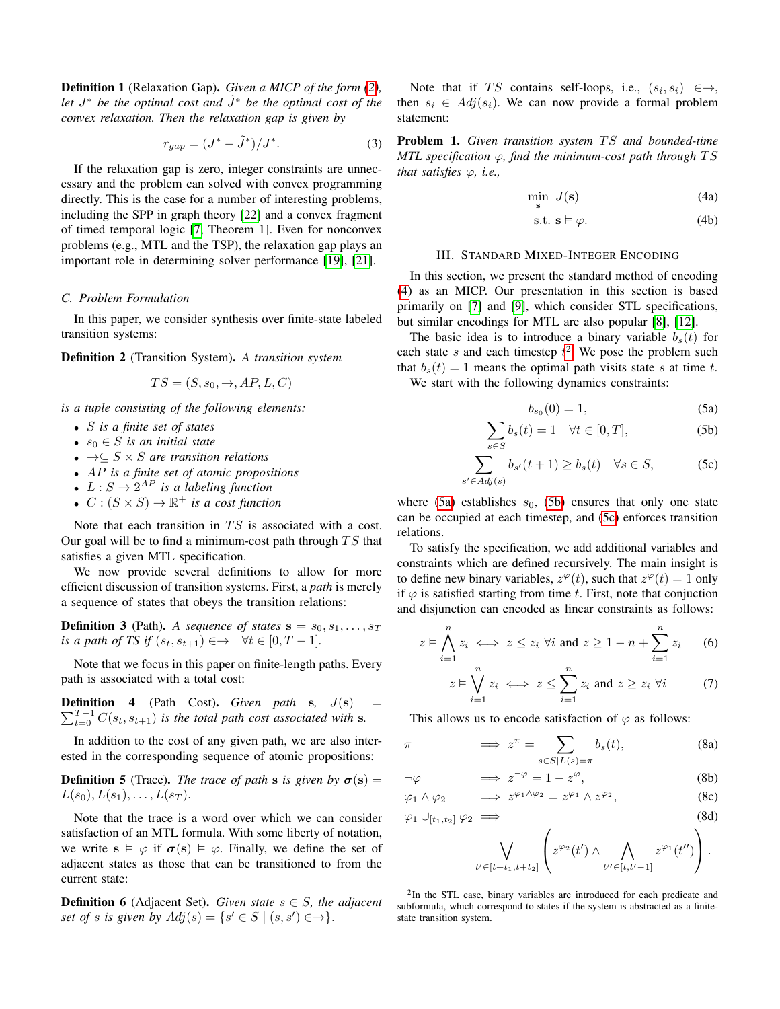Definition 1 (Relaxation Gap). *Given a MICP of the form [\(2\)](#page-1-2), let*  $J^*$  *be the optimal cost and*  $\tilde{J}^*$  *be the optimal cost of the convex relaxation. Then the relaxation gap is given by*

$$
r_{gap} = (J^* - \tilde{J}^*)/J^*.
$$
 (3)

If the relaxation gap is zero, integer constraints are unnecessary and the problem can solved with convex programming directly. This is the case for a number of interesting problems, including the SPP in graph theory [\[22\]](#page-6-19) and a convex fragment of timed temporal logic [\[7,](#page-6-6) Theorem 1]. Even for nonconvex problems (e.g., MTL and the TSP), the relaxation gap plays an important role in determining solver performance [\[19\]](#page-6-16), [\[21\]](#page-6-18).

#### *C. Problem Formulation*

In this paper, we consider synthesis over finite-state labeled transition systems:

Definition 2 (Transition System). *A transition system*

$$
TS = (S, s_0, \rightarrow, AP, L, C)
$$

*is a tuple consisting of the following elements:*

- S *is a finite set of states*
- $s_0 \in S$  *is an initial state*
- →⊆ S × S *are transition relations*
- AP *is a finite set of atomic propositions*
- $L: S \to 2^{AP}$  is a labeling function
- $C:(S\times S)\to\mathbb{R}^+$  *is a cost function*

Note that each transition in  $TS$  is associated with a cost. Our goal will be to find a minimum-cost path through  $TS$  that satisfies a given MTL specification.

We now provide several definitions to allow for more efficient discussion of transition systems. First, a *path* is merely a sequence of states that obeys the transition relations:

**Definition 3** (Path). *A sequence of states*  $\mathbf{s} = s_0, s_1, \ldots, s_T$ *is a path of TS if*  $(s_t, s_{t+1}) \in \rightarrow \forall t \in [0, T-1]$ *.* 

Note that we focus in this paper on finite-length paths. Every path is associated with a total cost:

 $\sum_{t=0}^{T-1} C(s_t, s_{t+1})$  *is the total path cost associated with* s. **Definition 4** (Path Cost). *Given path* s,  $J(s)$ 

In addition to the cost of any given path, we are also interested in the corresponding sequence of atomic propositions:

**Definition 5** (Trace). *The trace of path* s *is given by*  $\sigma(s)$  =  $L(s_0), L(s_1), \ldots, L(s_T)$ .

Note that the trace is a word over which we can consider satisfaction of an MTL formula. With some liberty of notation, we write  $s \models \varphi$  if  $\sigma(s) \models \varphi$ . Finally, we define the set of adjacent states as those that can be transitioned to from the current state:

**Definition 6** (Adjacent Set). *Given state*  $s \in S$ *, the adjacent set of s is given by*  $Adj(s) = \{s' \in S \mid (s, s') \in \rightarrow\}.$ 

Note that if TS contains self-loops, i.e.,  $(s_i, s_i) \in \rightarrow$ , then  $s_i \in Adj(s_i)$ . We can now provide a formal problem statement:

**Problem 1.** Given transition system TS and bounded-time *MTL specification*  $\varphi$ *, find the minimum-cost path through*  $TS$ *that satisfies* ϕ*, i.e.,*

<span id="page-2-1"></span>
$$
\min_{\mathbf{s}} J(\mathbf{s}) \tag{4a}
$$

$$
s.t. s \vDash \varphi. \tag{4b}
$$

#### III. STANDARD MIXED-INTEGER ENCODING

<span id="page-2-0"></span>In this section, we present the standard method of encoding [\(4\)](#page-2-1) as an MICP. Our presentation in this section is based primarily on [\[7\]](#page-6-6) and [\[9\]](#page-6-8), which consider STL specifications, but similar encodings for MTL are also popular [\[8\]](#page-6-7), [\[12\]](#page-6-11).

The basic idea is to introduce a binary variable  $b_s(t)$  for each state s and each timestep  $t^2$  $t^2$ . We pose the problem such that  $b_s(t) = 1$  means the optimal path visits state s at time t. We start with the following dynamics constraints:

<span id="page-2-6"></span><span id="page-2-5"></span><span id="page-2-4"></span><span id="page-2-3"></span>
$$
b_{s_0}(0) = 1,\t\t(5a)
$$

$$
\sum_{s \in S} b_s(t) = 1 \quad \forall t \in [0, T], \tag{5b}
$$

$$
\sum_{s' \in Adj(s)} b_{s'}(t+1) \ge b_s(t) \quad \forall s \in S,
$$
 (5c)

where [\(5a\)](#page-2-3) establishes  $s_0$ , [\(5b\)](#page-2-4) ensures that only one state can be occupied at each timestep, and [\(5c\)](#page-2-5) enforces transition relations.

To satisfy the specification, we add additional variables and constraints which are defined recursively. The main insight is to define new binary variables,  $z^{\varphi}(t)$ , such that  $z^{\varphi}(t) = 1$  only if  $\varphi$  is satisfied starting from time t. First, note that conjuction and disjunction can encoded as linear constraints as follows:

$$
z \vDash \bigwedge_{i=1}^{n} z_i \iff z \leq z_i \; \forall i \text{ and } z \geq 1 - n + \sum_{i=1}^{n} z_i \qquad (6)
$$

<span id="page-2-7"></span>
$$
z \vDash \bigvee_{i=1}^{n} z_i \iff z \le \sum_{i=1}^{n} z_i \text{ and } z \ge z_i \ \forall i \tag{7}
$$

This allows us to encode satisfaction of  $\varphi$  as follows:

$$
\pi \qquad \Longrightarrow z^{\pi} = \sum_{s \in S|L(s) = \pi} b_s(t), \tag{8a}
$$

$$
\neg \varphi \qquad \Longrightarrow z^{\neg \varphi} = 1 - z^{\varphi}, \tag{8b}
$$
\n
$$
\Rightarrow z^{\varphi_1 \wedge \varphi_2} = z^{\varphi_1} \wedge z^{\varphi_2} \tag{8c}
$$

$$
\varphi_1 \wedge \varphi_2 \qquad \Longrightarrow \ z^{\varphi_1 \wedge \varphi_2} = z^{\varphi_1} \wedge z^{\varphi_2}, \tag{8c}
$$

$$
\varphi_1 \cup_{[t_1, t_2]} \varphi_2 \implies \qquad (8d)
$$

$$
\bigvee_{t' \in [t+t_1,t+t_2]} \left( z^{\varphi_2}(t') \wedge \bigwedge_{t'' \in [t,t'-1]} z^{\varphi_1}(t'') \right).
$$

<span id="page-2-2"></span><sup>2</sup>In the STL case, binary variables are introduced for each predicate and subformula, which correspond to states if the system is abstracted as a finitestate transition system.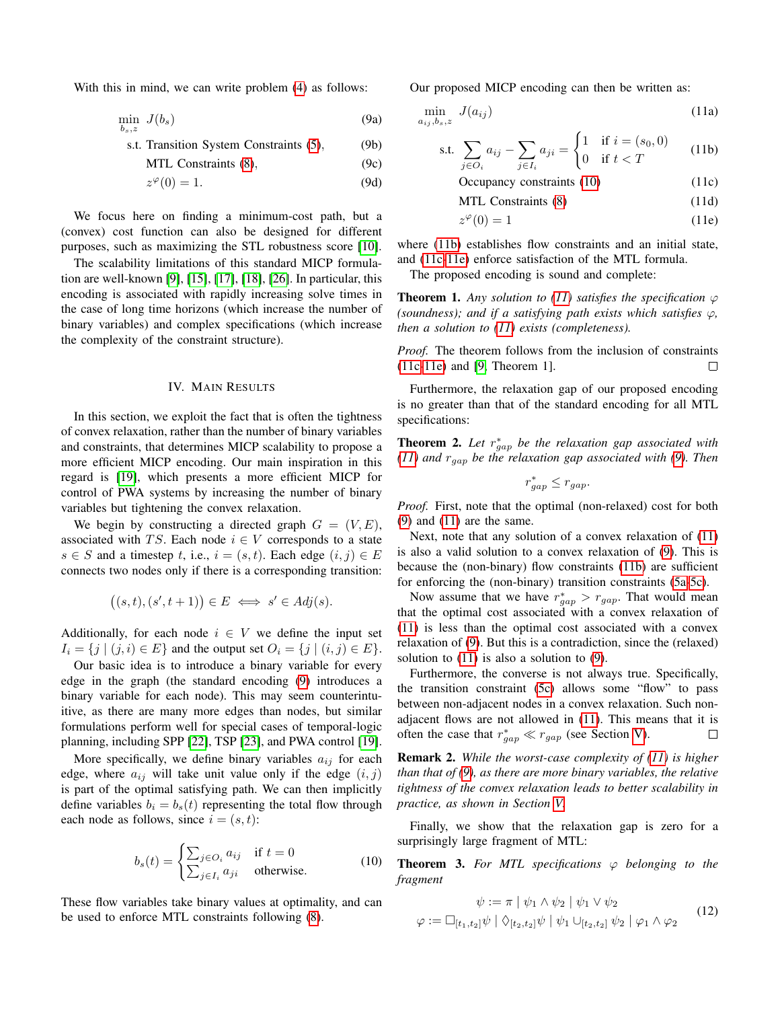With this in mind, we can write problem [\(4\)](#page-2-1) as follows:

$$
\min_{b_s,z} J(b_s) \tag{9a}
$$

s.t. Transition System Constraints [\(5\)](#page-2-6), (9b)

MTL Constraints 
$$
(8)
$$
,  $(9c)$ 

$$
z^{\varphi}(0) = 1. \tag{9d}
$$

We focus here on finding a minimum-cost path, but a (convex) cost function can also be designed for different purposes, such as maximizing the STL robustness score [\[10\]](#page-6-9).

The scalability limitations of this standard MICP formulation are well-known [\[9\]](#page-6-8), [\[15\]](#page-6-14), [\[17\]](#page-6-24), [\[18\]](#page-6-15), [\[26\]](#page-6-25). In particular, this encoding is associated with rapidly increasing solve times in the case of long time horizons (which increase the number of binary variables) and complex specifications (which increase the complexity of the constraint structure).

# IV. MAIN RESULTS

<span id="page-3-0"></span>In this section, we exploit the fact that is often the tightness of convex relaxation, rather than the number of binary variables and constraints, that determines MICP scalability to propose a more efficient MICP encoding. Our main inspiration in this regard is [\[19\]](#page-6-16), which presents a more efficient MICP for control of PWA systems by increasing the number of binary variables but tightening the convex relaxation.

We begin by constructing a directed graph  $G = (V, E)$ , associated with TS. Each node  $i \in V$  corresponds to a state  $s \in S$  and a timestep t, i.e.,  $i = (s, t)$ . Each edge  $(i, j) \in E$ connects two nodes only if there is a corresponding transition:

$$
((s,t),(s',t+1))\in E \iff s'\in Adj(s).
$$

Additionally, for each node  $i \in V$  we define the input set  $I_i = \{j \mid (j, i) \in E\}$  and the output set  $O_i = \{j \mid (i, j) \in E\}.$ 

Our basic idea is to introduce a binary variable for every edge in the graph (the standard encoding [\(9\)](#page-3-1) introduces a binary variable for each node). This may seem counterintuitive, as there are many more edges than nodes, but similar formulations perform well for special cases of temporal-logic planning, including SPP [\[22\]](#page-6-19), TSP [\[23\]](#page-6-20), and PWA control [\[19\]](#page-6-16).

More specifically, we define binary variables  $a_{ij}$  for each edge, where  $a_{ij}$  will take unit value only if the edge  $(i, j)$ is part of the optimal satisfying path. We can then implicitly define variables  $b_i = b_s(t)$  representing the total flow through each node as follows, since  $i = (s, t)$ :

<span id="page-3-2"></span>
$$
b_s(t) = \begin{cases} \sum_{j \in O_i} a_{ij} & \text{if } t = 0\\ \sum_{j \in I_i} a_{ji} & \text{otherwise.} \end{cases}
$$
 (10)

These flow variables take binary values at optimality, and can be used to enforce MTL constraints following [\(8\)](#page-2-7).

<span id="page-3-1"></span>Our proposed MICP encoding can then be written as:

<span id="page-3-8"></span>
$$
\min_{a_{ij},b_s,z} J(a_{ij}) \tag{11a}
$$

s.t. 
$$
\sum_{j \in O_i} a_{ij} - \sum_{j \in I_i} a_{ji} = \begin{cases} 1 & \text{if } i = (s_0, 0) \\ 0 & \text{if } t < T \end{cases}
$$
 (11b)

<span id="page-3-6"></span><span id="page-3-4"></span><span id="page-3-3"></span>
$$
Occupancy constraints (10) \t(11c)
$$

<span id="page-3-5"></span>MTL Constraints [\(8\)](#page-2-7) (11d)

$$
z^{\varphi}(0) = 1 \tag{11e}
$$

<span id="page-3-9"></span>where [\(11b\)](#page-3-3) establishes flow constraints and an initial state, and [\(11c-](#page-3-4)[11e\)](#page-3-5) enforce satisfaction of the MTL formula.

The proposed encoding is sound and complete:

**Theorem 1.** Any solution to [\(11\)](#page-3-6) satisfies the specification  $\varphi$ *(soundness); and if a satisfying path exists which satisfies*  $\varphi$ *, then a solution to [\(11\)](#page-3-6) exists (completeness).*

*Proof.* The theorem follows from the inclusion of constraints [\(11c-](#page-3-4)[11e\)](#page-3-5) and [\[9,](#page-6-8) Theorem 1]. П

Furthermore, the relaxation gap of our proposed encoding is no greater than that of the standard encoding for all MTL specifications:

**Theorem 2.** Let  $r_{gap}^*$  be the relaxation gap associated with *[\(11\)](#page-3-6) and* rgap *be the relaxation gap associated with [\(9\)](#page-3-1). Then*

$$
r_{gap}^* \le r_{gap}.
$$

*Proof.* First, note that the optimal (non-relaxed) cost for both [\(9\)](#page-3-1) and [\(11\)](#page-3-6) are the same.

Next, note that any solution of a convex relaxation of [\(11\)](#page-3-6) is also a valid solution to a convex relaxation of [\(9\)](#page-3-1). This is because the (non-binary) flow constraints [\(11b\)](#page-3-3) are sufficient for enforcing the (non-binary) transition constraints [\(5a-](#page-2-3)[5c\)](#page-2-5).

Now assume that we have  $r_{gap}^* > r_{gap}$ . That would mean that the optimal cost associated with a convex relaxation of [\(11\)](#page-3-6) is less than the optimal cost associated with a convex relaxation of [\(9\)](#page-3-1). But this is a contradiction, since the (relaxed) solution to  $(11)$  is also a solution to  $(9)$ .

Furthermore, the converse is not always true. Specifically, the transition constraint [\(5c\)](#page-2-5) allows some "flow" to pass between non-adjacent nodes in a convex relaxation. Such nonadjacent flows are not allowed in [\(11\)](#page-3-6). This means that it is often the case that  $r_{gap}^* \ll r_{gap}$  (see Section [V\)](#page-4-0).  $\Box$ 

Remark 2. *While the worst-case complexity of [\(11\)](#page-3-6) is higher than that of [\(9\)](#page-3-1), as there are more binary variables, the relative tightness of the convex relaxation leads to better scalability in practice, as shown in Section [V.](#page-4-0)*

Finally, we show that the relaxation gap is zero for a surprisingly large fragment of MTL:

**Theorem 3.** For MTL specifications  $\varphi$  belonging to the *fragment*

<span id="page-3-7"></span>
$$
\psi := \pi \mid \psi_1 \wedge \psi_2 \mid \psi_1 \vee \psi_2
$$
  

$$
\varphi := \Box_{[t_1, t_2]} \psi \mid \Diamond_{[t_2, t_2]} \psi \mid \psi_1 \cup_{[t_2, t_2]} \psi_2 \mid \varphi_1 \wedge \varphi_2
$$
 (12)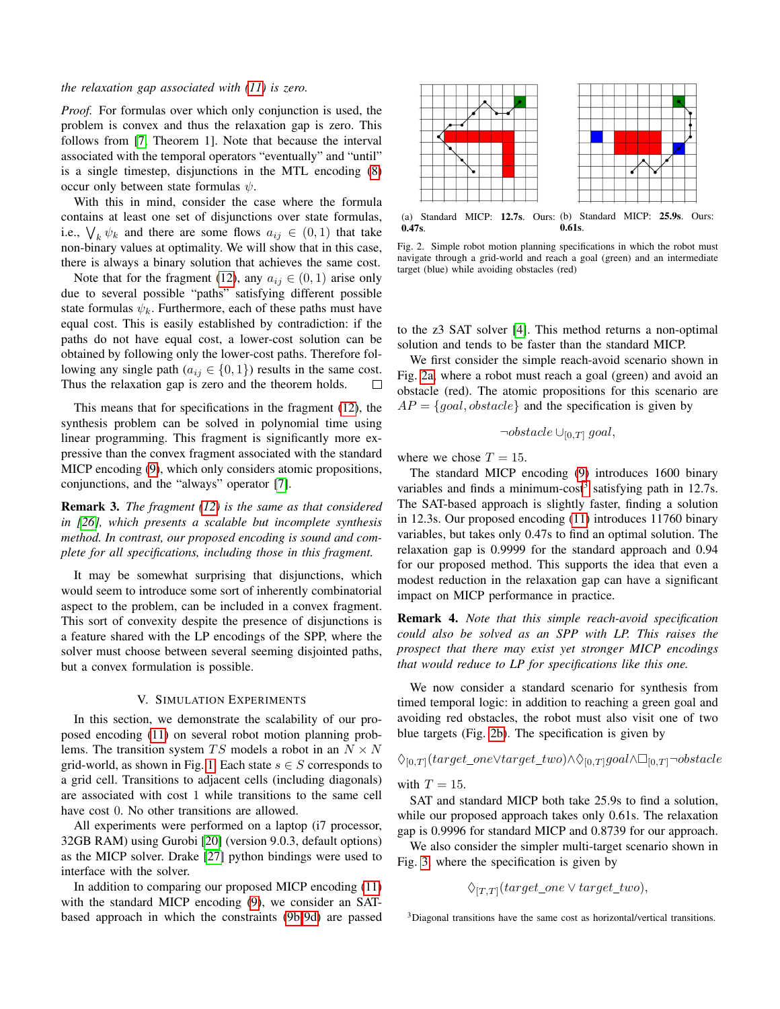## *the relaxation gap associated with [\(11\)](#page-3-6) is zero.*

*Proof.* For formulas over which only conjunction is used, the problem is convex and thus the relaxation gap is zero. This follows from [\[7,](#page-6-6) Theorem 1]. Note that because the interval associated with the temporal operators "eventually" and "until" is a single timestep, disjunctions in the MTL encoding [\(8\)](#page-2-7) occur only between state formulas  $\psi$ .

With this in mind, consider the case where the formula contains at least one set of disjunctions over state formulas, i.e.,  $\bigvee_k \psi_k$  and there are some flows  $a_{ij} \in (0,1)$  that take non-binary values at optimality. We will show that in this case, there is always a binary solution that achieves the same cost.

Note that for the fragment [\(12\)](#page-3-7), any  $a_{ij} \in (0, 1)$  arise only due to several possible "paths" satisfying different possible state formulas  $\psi_k$ . Furthermore, each of these paths must have equal cost. This is easily established by contradiction: if the paths do not have equal cost, a lower-cost solution can be obtained by following only the lower-cost paths. Therefore following any single path ( $a_{ij} \in \{0, 1\}$ ) results in the same cost. Thus the relaxation gap is zero and the theorem holds.  $\Box$ 

This means that for specifications in the fragment [\(12\)](#page-3-7), the synthesis problem can be solved in polynomial time using linear programming. This fragment is significantly more expressive than the convex fragment associated with the standard MICP encoding [\(9\)](#page-3-1), which only considers atomic propositions, conjunctions, and the "always" operator [\[7\]](#page-6-6).

Remark 3. *The fragment [\(12\)](#page-3-7) is the same as that considered in [\[26\]](#page-6-25), which presents a scalable but incomplete synthesis method. In contrast, our proposed encoding is sound and complete for all specifications, including those in this fragment.*

It may be somewhat surprising that disjunctions, which would seem to introduce some sort of inherently combinatorial aspect to the problem, can be included in a convex fragment. This sort of convexity despite the presence of disjunctions is a feature shared with the LP encodings of the SPP, where the solver must choose between several seeming disjointed paths, but a convex formulation is possible.

# V. SIMULATION EXPERIMENTS

<span id="page-4-0"></span>In this section, we demonstrate the scalability of our proposed encoding [\(11\)](#page-3-6) on several robot motion planning problems. The transition system TS models a robot in an  $N \times N$ grid-world, as shown in Fig. [1.](#page-0-0) Each state  $s \in S$  corresponds to a grid cell. Transitions to adjacent cells (including diagonals) are associated with cost 1 while transitions to the same cell have cost 0. No other transitions are allowed.

All experiments were performed on a laptop (i7 processor, 32GB RAM) using Gurobi [\[20\]](#page-6-17) (version 9.0.3, default options) as the MICP solver. Drake [\[27\]](#page-6-26) python bindings were used to interface with the solver.

In addition to comparing our proposed MICP encoding [\(11\)](#page-3-6) with the standard MICP encoding [\(9\)](#page-3-1), we consider an SATbased approach in which the constraints [\(9b-](#page-3-8)[9d\)](#page-3-9) are passed

<span id="page-4-1"></span>

(a) Standard MICP: 12.7s. Ours: (b) Standard MICP: 25.9s. Ours: 0.47s. 0.61s.

Fig. 2. Simple robot motion planning specifications in which the robot must navigate through a grid-world and reach a goal (green) and an intermediate target (blue) while avoiding obstacles (red)

to the z3 SAT solver [\[4\]](#page-6-3). This method returns a non-optimal solution and tends to be faster than the standard MICP.

We first consider the simple reach-avoid scenario shown in Fig. [2a,](#page-4-1) where a robot must reach a goal (green) and avoid an obstacle (red). The atomic propositions for this scenario are  $AP = \{goal, obstacle\}$  and the specification is given by

$$
\neg obstacle \cup_{[0,T]} goal,
$$

where we chose  $T = 15$ .

The standard MICP encoding [\(9\)](#page-3-1) introduces 1600 binary variables and finds a minimum-cost<sup>[3](#page-4-2)</sup> satisfying path in 12.7s. The SAT-based approach is slightly faster, finding a solution in 12.3s. Our proposed encoding [\(11\)](#page-3-6) introduces 11760 binary variables, but takes only 0.47s to find an optimal solution. The relaxation gap is 0.9999 for the standard approach and 0.94 for our proposed method. This supports the idea that even a modest reduction in the relaxation gap can have a significant impact on MICP performance in practice.

Remark 4. *Note that this simple reach-avoid specification could also be solved as an SPP with LP. This raises the prospect that there may exist yet stronger MICP encodings that would reduce to LP for specifications like this one.*

We now consider a standard scenario for synthesis from timed temporal logic: in addition to reaching a green goal and avoiding red obstacles, the robot must also visit one of two blue targets (Fig. [2b\)](#page-4-1). The specification is given by

$$
\Diamond_{[0,T]}(target\_one \lor target\_two) \land \Diamond_{[0,T]}goal \land \Box_{[0,T]} \neg obstacle
$$

with  $T = 15$ .

SAT and standard MICP both take 25.9s to find a solution, while our proposed approach takes only 0.61s. The relaxation gap is 0.9996 for standard MICP and 0.8739 for our approach.

We also consider the simpler multi-target scenario shown in Fig. [3,](#page-5-0) where the specification is given by

$$
\Diamond_{[T,T]}(target\_one \lor target\_two),
$$

<span id="page-4-2"></span><sup>3</sup>Diagonal transitions have the same cost as horizontal/vertical transitions.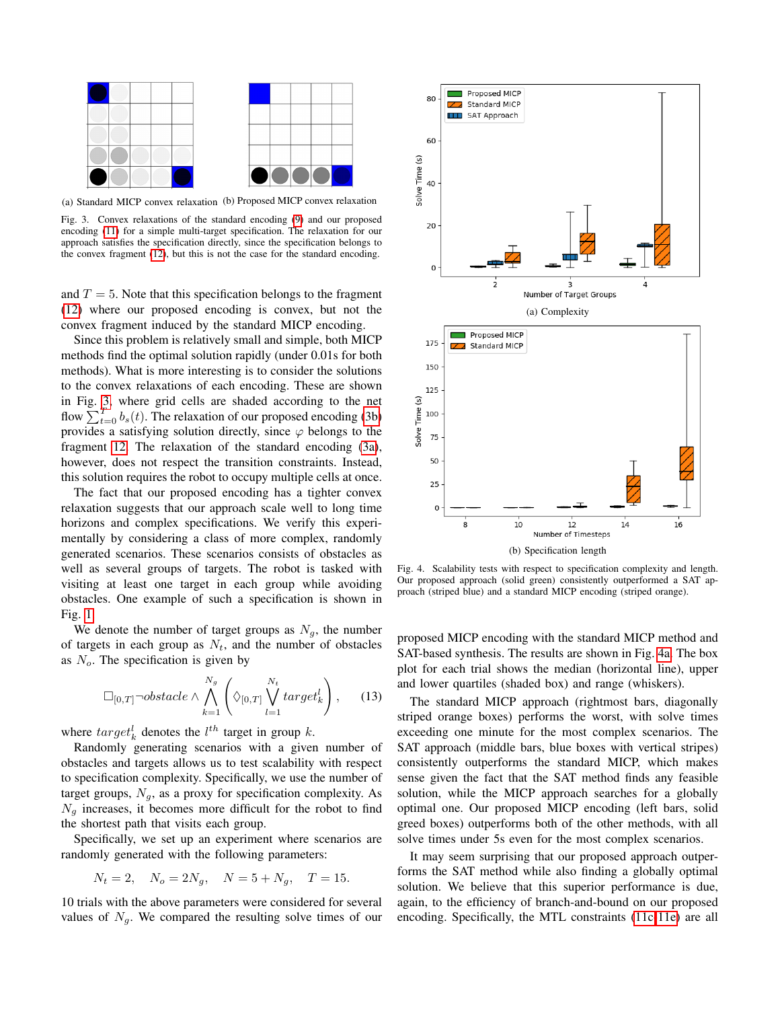<span id="page-5-0"></span>

(a) Standard MICP convex relaxation (b) Proposed MICP convex relaxation

Fig. 3. Convex relaxations of the standard encoding [\(9\)](#page-3-1) and our proposed encoding [\(11\)](#page-3-6) for a simple multi-target specification. The relaxation for our approach satisfies the specification directly, since the specification belongs to the convex fragment [\(12\)](#page-3-7), but this is not the case for the standard encoding.

and  $T = 5$ . Note that this specification belongs to the fragment [\(12\)](#page-3-7) where our proposed encoding is convex, but not the convex fragment induced by the standard MICP encoding.

Since this problem is relatively small and simple, both MICP methods find the optimal solution rapidly (under 0.01s for both methods). What is more interesting is to consider the solutions to the convex relaxations of each encoding. These are shown in Fig. [3,](#page-5-0) where grid cells are shaded according to the net flow  $\sum_{t=0}^{T} b_s(t)$ . The relaxation of our proposed encoding [\(3b\)](#page-5-0) provides a satisfying solution directly, since  $\varphi$  belongs to the fragment [12.](#page-3-7) The relaxation of the standard encoding [\(3a\)](#page-5-0), however, does not respect the transition constraints. Instead, this solution requires the robot to occupy multiple cells at once.

The fact that our proposed encoding has a tighter convex relaxation suggests that our approach scale well to long time horizons and complex specifications. We verify this experimentally by considering a class of more complex, randomly generated scenarios. These scenarios consists of obstacles as well as several groups of targets. The robot is tasked with visiting at least one target in each group while avoiding obstacles. One example of such a specification is shown in Fig. [1.](#page-0-0)

We denote the number of target groups as  $N_g$ , the number of targets in each group as  $N_t$ , and the number of obstacles as  $N<sub>o</sub>$ . The specification is given by

$$
\Box_{[0,T]}\neg obstacle \wedge \bigwedge_{k=1}^{N_g} \left(\Diamond_{[0,T]} \bigvee_{l=1}^{N_t} target_k^l\right), \qquad (13)
$$

where  $target_k^l$  denotes the  $l^{th}$  target in group k.

Randomly generating scenarios with a given number of obstacles and targets allows us to test scalability with respect to specification complexity. Specifically, we use the number of target groups,  $N_g$ , as a proxy for specification complexity. As  $N_q$  increases, it becomes more difficult for the robot to find the shortest path that visits each group.

Specifically, we set up an experiment where scenarios are randomly generated with the following parameters:

$$
N_t = 2
$$
,  $N_o = 2N_g$ ,  $N = 5 + N_g$ ,  $T = 15$ .

10 trials with the above parameters were considered for several values of  $N_q$ . We compared the resulting solve times of our

<span id="page-5-1"></span>

Fig. 4. Scalability tests with respect to specification complexity and length. Our proposed approach (solid green) consistently outperformed a SAT approach (striped blue) and a standard MICP encoding (striped orange).

proposed MICP encoding with the standard MICP method and SAT-based synthesis. The results are shown in Fig. [4a.](#page-5-1) The box plot for each trial shows the median (horizontal line), upper and lower quartiles (shaded box) and range (whiskers).

The standard MICP approach (rightmost bars, diagonally striped orange boxes) performs the worst, with solve times exceeding one minute for the most complex scenarios. The SAT approach (middle bars, blue boxes with vertical stripes) consistently outperforms the standard MICP, which makes sense given the fact that the SAT method finds any feasible solution, while the MICP approach searches for a globally optimal one. Our proposed MICP encoding (left bars, solid greed boxes) outperforms both of the other methods, with all solve times under 5s even for the most complex scenarios.

It may seem surprising that our proposed approach outperforms the SAT method while also finding a globally optimal solution. We believe that this superior performance is due, again, to the efficiency of branch-and-bound on our proposed encoding. Specifically, the MTL constraints [\(11c](#page-3-4)[-11e\)](#page-3-5) are all